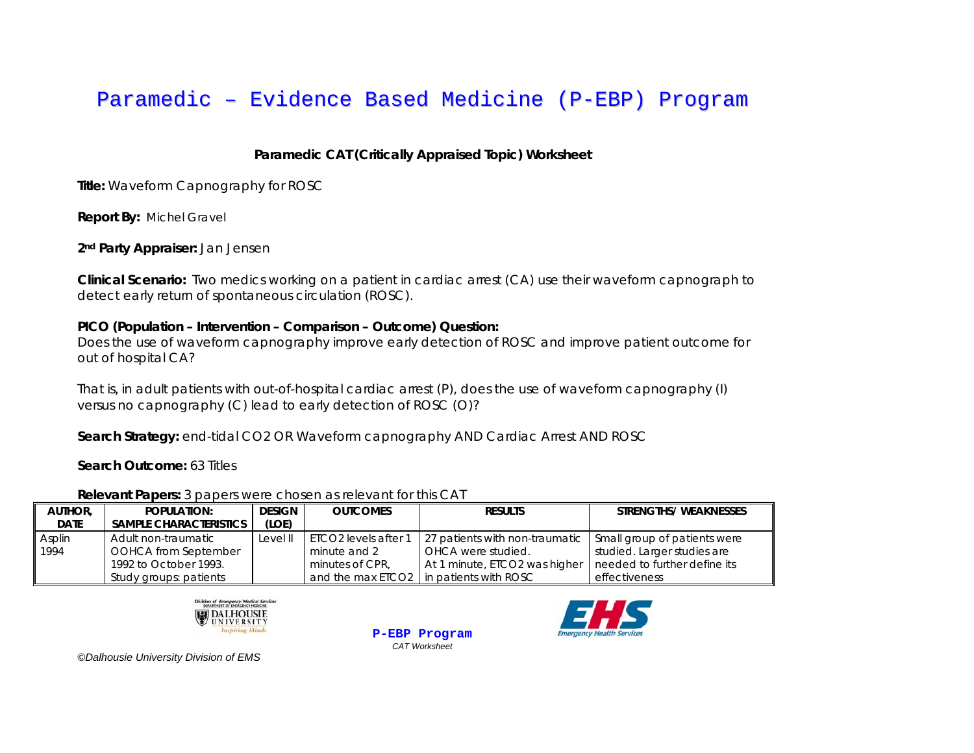## **Paramedic CAT (Critically Appraised Topic) Worksheet**

**Title:** Waveform Capnography for ROSC

**Report By:** Michel Gravel

**2nd Party Appraiser:** Jan Jensen

**Clinical Scenario:** Two medics working on a patient in cardiac arrest (CA) use their waveform capnograph to detect early return of spontaneous circulation (ROSC).

## **PICO (Population – Intervention – Comparison – Outcome) Question:**

Does the use of waveform capnography improve early detection of ROSC and improve patient outcome for out of hospital CA?

That is, *in adult patients with out-of-hospital cardiac arrest (P), does the use of waveform capnography (I) versus no capnography (C) lead to early detection of ROSC (O)?*

Search Strategy: end-tidal CO2 OR Waveform capnography AND Cardiac Arrest AND ROSC

**Search Outcome: 63 Titles** 

| AUTHOR.<br><b>DATE</b> | POPULATION:<br><b>SAMPLE CHARACTERISTICS</b>    | <b>DESIGN</b><br>(LOE) | <b>OUTCOMES</b>                      | <b>RESULTS</b>                                                             | <b>STRENGTHS/ WEAKNESSES</b>                                |
|------------------------|-------------------------------------------------|------------------------|--------------------------------------|----------------------------------------------------------------------------|-------------------------------------------------------------|
| Asplin<br>1994         | Adult non-traumatic<br>OOHCA from September     | Level II               | ETCO2 levels after 1<br>minute and 2 | 27 patients with non-traumatic<br><b>OHCA</b> were studied.                | Small group of patients were<br>studied. Larger studies are |
|                        | 1992 to October 1993.<br>Study groups: patients |                        | minutes of CPR.                      | At 1 minute, ETCO2 was higher<br>and the max ETCO2   in patients with ROSC | needed to further define its<br>effectiveness               |



**P-EBP Program** *CAT Worksheet* 

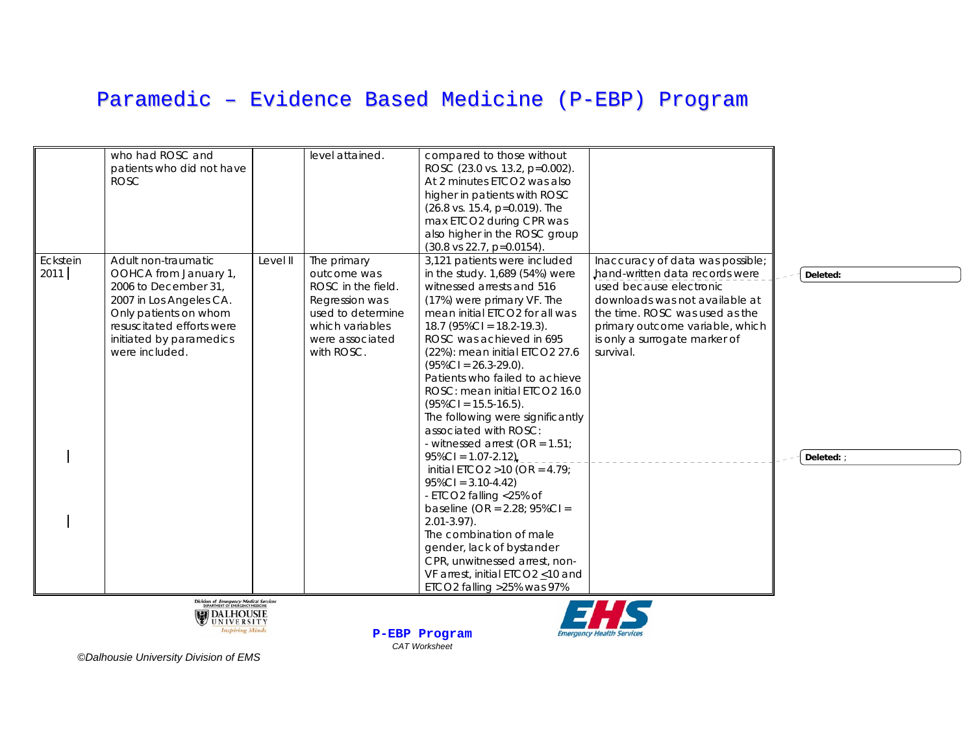|                  | who had ROSC and<br>patients who did not have<br><b>ROSC</b>                                                                                                                                       |          | level attained.                                                                                                                             | compared to those without<br>ROSC (23.0 vs. 13.2, p=0.002).<br>At 2 minutes ETCO2 was also<br>higher in patients with ROSC<br>(26.8 vs. 15.4, p=0.019). The<br>max ETCO2 during CPR was<br>also higher in the ROSC group<br>$(30.8 \text{ vs } 22.7, \text{ p} = 0.0154).$                                                                                                                                                                                                                                                                                                                                                                                                                                                                                                                                                  |                                                                                                                                                                                                                                                    |                      |
|------------------|----------------------------------------------------------------------------------------------------------------------------------------------------------------------------------------------------|----------|---------------------------------------------------------------------------------------------------------------------------------------------|-----------------------------------------------------------------------------------------------------------------------------------------------------------------------------------------------------------------------------------------------------------------------------------------------------------------------------------------------------------------------------------------------------------------------------------------------------------------------------------------------------------------------------------------------------------------------------------------------------------------------------------------------------------------------------------------------------------------------------------------------------------------------------------------------------------------------------|----------------------------------------------------------------------------------------------------------------------------------------------------------------------------------------------------------------------------------------------------|----------------------|
| Eckstein<br>2011 | Adult non-traumatic<br>OOHCA from January 1,<br>2006 to December 31,<br>2007 in Los Angeles CA.<br>Only patients on whom<br>resuscitated efforts were<br>initiated by paramedics<br>were included. | Level II | The primary<br>outcome was<br>ROSC in the field.<br>Regression was<br>used to determine<br>which variables<br>were associated<br>with ROSC. | 3,121 patients were included<br>in the study. 1,689 (54%) were<br>witnessed arrests and 516<br>(17%) were primary VF. The<br>mean initial ETCO2 for all was<br>$18.7$ (95%CI = 18.2-19.3).<br>ROSC was achieved in 695<br>(22%): mean initial ETCO2 27.6<br>$(95\%CI = 26.3-29.0).$<br>Patients who failed to achieve<br>ROSC: mean initial ETCO2 16.0<br>$(95\%CI = 15.5-16.5).$<br>The following were significantly<br>associated with ROSC:<br>- witnessed arrest (OR = $1.51$ ;<br>$95\%CI = 1.07 - 2.12$<br>initial ETCO2 >10 (OR = $4.79$ ;<br>$95\%CI = 3.10-4.42$<br>- ETCO2 falling <25% of<br>baseline (OR = $2.28$ ; $95\%$ Cl =<br>$2.01 - 3.97$ ).<br>The combination of male<br>gender, lack of bystander<br>CPR, unwitnessed arrest, non-<br>VF arrest, initial ETCO2 <10 and<br>ETCO2 falling > 25% was 97% | Inaccuracy of data was possible;<br>hand-written data records were<br>used because electronic<br>downloads was not available at<br>the time. ROSC was used as the<br>primary outcome variable, which<br>is only a surrogate marker of<br>survival. | Deleted:<br>Deleted: |
|                  | Division of Emergency Medical Services<br>DIPARTMENT OF IMERGENCY MEDICINE                                                                                                                         |          |                                                                                                                                             |                                                                                                                                                                                                                                                                                                                                                                                                                                                                                                                                                                                                                                                                                                                                                                                                                             | - 7                                                                                                                                                                                                                                                |                      |





**Emergency Health Services**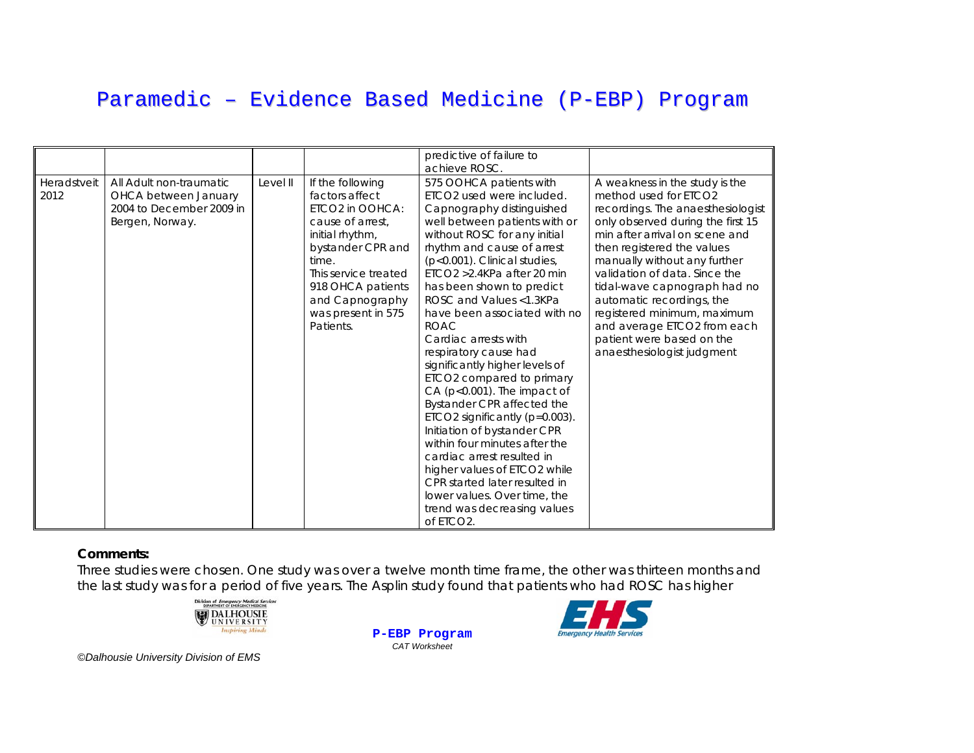|                     |                                                                                                |          |                                                                                                                                                                                                                               | predictive of failure to<br>achieve ROSC.                                                                                                                                                                                                                                                                                                                                                                                                                                                                                                                                                                                                                                                                                                                                                                                    |                                                                                                                                                                                                                                                                                                                                                                                                                                                          |
|---------------------|------------------------------------------------------------------------------------------------|----------|-------------------------------------------------------------------------------------------------------------------------------------------------------------------------------------------------------------------------------|------------------------------------------------------------------------------------------------------------------------------------------------------------------------------------------------------------------------------------------------------------------------------------------------------------------------------------------------------------------------------------------------------------------------------------------------------------------------------------------------------------------------------------------------------------------------------------------------------------------------------------------------------------------------------------------------------------------------------------------------------------------------------------------------------------------------------|----------------------------------------------------------------------------------------------------------------------------------------------------------------------------------------------------------------------------------------------------------------------------------------------------------------------------------------------------------------------------------------------------------------------------------------------------------|
| Heradstveit<br>2012 | All Adult non-traumatic<br>OHCA between January<br>2004 to December 2009 in<br>Bergen, Norway. | Level II | If the following<br>factors affect<br>ETCO2 in OOHCA:<br>cause of arrest.<br>initial rhythm,<br>bystander CPR and<br>time.<br>This service treated<br>918 OHCA patients<br>and Capnography<br>was present in 575<br>Patients. | 575 OOHCA patients with<br>ETCO <sub>2</sub> used were included.<br>Capnography distinguished<br>well between patients with or<br>without ROSC for any initial<br>rhythm and cause of arrest<br>(p<0.001). Clinical studies,<br>ETCO2 > 2.4KPa after 20 min<br>has been shown to predict<br>ROSC and Values <1.3KPa<br>have been associated with no<br><b>ROAC</b><br>Cardiac arrests with<br>respiratory cause had<br>significantly higher levels of<br>ETCO2 compared to primary<br>CA (p<0.001). The impact of<br>Bystander CPR affected the<br>ETCO2 significantly (p=0.003).<br>Initiation of bystander CPR<br>within four minutes after the<br>cardiac arrest resulted in<br>higher values of ETCO2 while<br>CPR started later resulted in<br>lower values. Over time, the<br>trend was decreasing values<br>of ETCO2. | A weakness in the study is the<br>method used for ETCO2<br>recordings. The anaesthesiologist<br>only observed during the first 15<br>min after arrival on scene and<br>then registered the values<br>manually without any further<br>validation of data. Since the<br>tidal-wave capnograph had no<br>automatic recordings, the<br>registered minimum, maximum<br>and average ETCO2 from each<br>patient were based on the<br>anaesthesiologist judgment |

#### **Comments:**

Three studies were chosen. One study was over a twelve month time frame, the other was thirteen months and the last study was for a period of five years. The Asplin study found that patients who had ROSC has higher



**P-EBP Program** *CAT Worksheet*